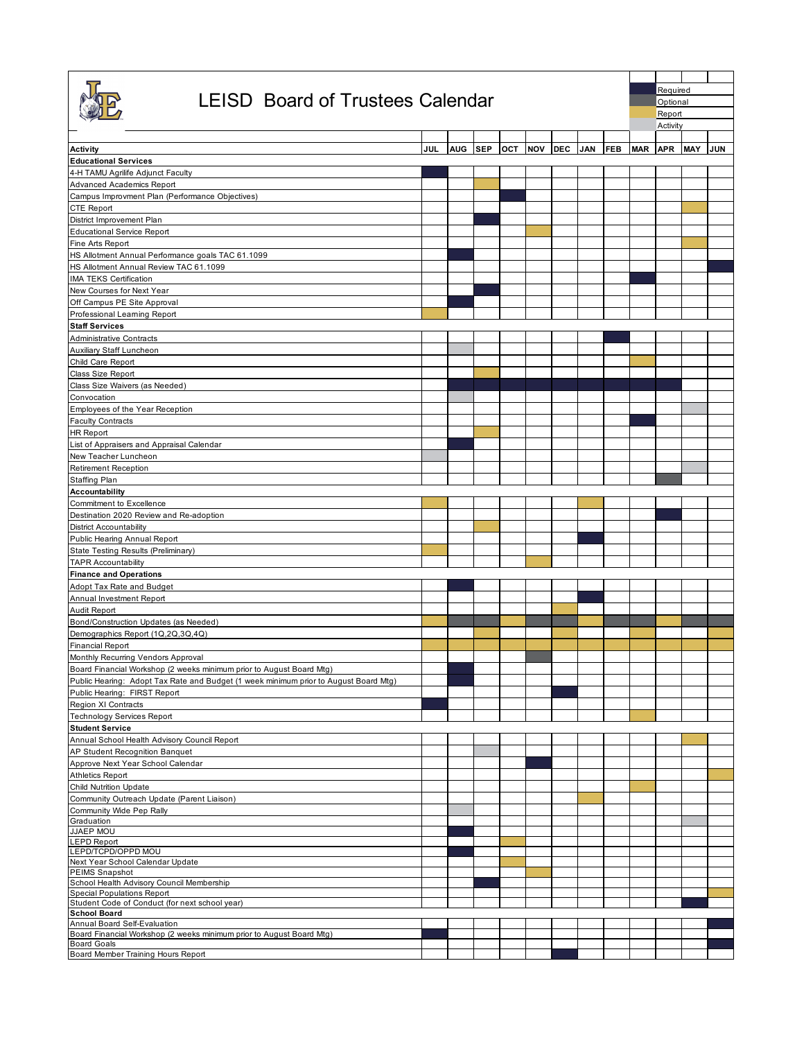|                                                                                                                                                              |     |     |            |     |            |            |            |            |            | Required |                    |     |  |  |
|--------------------------------------------------------------------------------------------------------------------------------------------------------------|-----|-----|------------|-----|------------|------------|------------|------------|------------|----------|--------------------|-----|--|--|
| <b>LEISD Board of Trustees Calendar</b>                                                                                                                      |     |     |            |     |            |            |            |            |            |          | Optional<br>Report |     |  |  |
|                                                                                                                                                              |     |     |            |     |            |            |            |            | Activity   |          |                    |     |  |  |
| Activity                                                                                                                                                     | JUL | AUG | <b>SEP</b> | OCT | <b>NOV</b> | <b>DEC</b> | <b>JAN</b> | <b>FEB</b> | <b>MAR</b> | APR MAY  |                    | JUN |  |  |
| <b>Educational Services</b>                                                                                                                                  |     |     |            |     |            |            |            |            |            |          |                    |     |  |  |
| 4-H TAMU Agrilife Adjunct Faculty<br>Advanced Academics Report                                                                                               |     |     |            |     |            |            |            |            |            |          |                    |     |  |  |
| Campus Improvment Plan (Performance Objectives)                                                                                                              |     |     |            |     |            |            |            |            |            |          |                    |     |  |  |
| CTE Report                                                                                                                                                   |     |     |            |     |            |            |            |            |            |          |                    |     |  |  |
| District Improvement Plan                                                                                                                                    |     |     |            |     |            |            |            |            |            |          |                    |     |  |  |
| <b>Educational Service Report</b><br>Fine Arts Report                                                                                                        |     |     |            |     |            |            |            |            |            |          |                    |     |  |  |
| HS Allotment Annual Performance goals TAC 61.1099                                                                                                            |     |     |            |     |            |            |            |            |            |          |                    |     |  |  |
| HS Allotment Annual Review TAC 61.1099                                                                                                                       |     |     |            |     |            |            |            |            |            |          |                    |     |  |  |
| IMA TEKS Certification<br>New Courses for Next Year                                                                                                          |     |     |            |     |            |            |            |            |            |          |                    |     |  |  |
| Off Campus PE Site Approval                                                                                                                                  |     |     |            |     |            |            |            |            |            |          |                    |     |  |  |
| Professional Learning Report                                                                                                                                 |     |     |            |     |            |            |            |            |            |          |                    |     |  |  |
| <b>Staff Services</b>                                                                                                                                        |     |     |            |     |            |            |            |            |            |          |                    |     |  |  |
| <b>Administrative Contracts</b><br>Auxiliary Staff Luncheon                                                                                                  |     |     |            |     |            |            |            |            |            |          |                    |     |  |  |
| Child Care Report                                                                                                                                            |     |     |            |     |            |            |            |            |            |          |                    |     |  |  |
| Class Size Report                                                                                                                                            |     |     |            |     |            |            |            |            |            |          |                    |     |  |  |
| Class Size Waivers (as Needed)                                                                                                                               |     |     |            |     |            |            |            |            |            |          |                    |     |  |  |
| Convocation                                                                                                                                                  |     |     |            |     |            |            |            |            |            |          |                    |     |  |  |
| Employees of the Year Reception<br><b>Faculty Contracts</b>                                                                                                  |     |     |            |     |            |            |            |            |            |          |                    |     |  |  |
| <b>HR Report</b>                                                                                                                                             |     |     |            |     |            |            |            |            |            |          |                    |     |  |  |
| List of Appraisers and Appraisal Calendar                                                                                                                    |     |     |            |     |            |            |            |            |            |          |                    |     |  |  |
| New Teacher Luncheon                                                                                                                                         |     |     |            |     |            |            |            |            |            |          |                    |     |  |  |
| <b>Retirement Reception</b><br>Staffing Plan                                                                                                                 |     |     |            |     |            |            |            |            |            |          |                    |     |  |  |
| Accountability                                                                                                                                               |     |     |            |     |            |            |            |            |            |          |                    |     |  |  |
| Commitment to Excellence                                                                                                                                     |     |     |            |     |            |            |            |            |            |          |                    |     |  |  |
| Destination 2020 Review and Re-adoption                                                                                                                      |     |     |            |     |            |            |            |            |            |          |                    |     |  |  |
| <b>District Accountability</b>                                                                                                                               |     |     |            |     |            |            |            |            |            |          |                    |     |  |  |
| Public Hearing Annual Report<br>State Testing Results (Preliminary)                                                                                          |     |     |            |     |            |            |            |            |            |          |                    |     |  |  |
| <b>TAPR Accountability</b>                                                                                                                                   |     |     |            |     |            |            |            |            |            |          |                    |     |  |  |
| <b>Finance and Operations</b>                                                                                                                                |     |     |            |     |            |            |            |            |            |          |                    |     |  |  |
| Adopt Tax Rate and Budget                                                                                                                                    |     |     |            |     |            |            |            |            |            |          |                    |     |  |  |
| Annual Investment Report<br>Audit Report                                                                                                                     |     |     |            |     |            |            |            |            |            |          |                    |     |  |  |
| Bond/Construction Updates (as Needed)                                                                                                                        |     |     |            |     |            |            |            |            |            |          |                    |     |  |  |
| Demographics Report (1Q,2Q,3Q,4Q)                                                                                                                            |     |     |            |     |            |            |            |            |            |          |                    |     |  |  |
| <b>Financial Report</b>                                                                                                                                      |     |     |            |     |            |            |            |            |            |          |                    |     |  |  |
| Monthly Recurring Vendors Approval                                                                                                                           |     |     |            |     |            |            |            |            |            |          |                    |     |  |  |
| Board Financial Workshop (2 weeks minimum prior to August Board Mtg)<br>Public Hearing: Adopt Tax Rate and Budget (1 week minimum prior to August Board Mtg) |     |     |            |     |            |            |            |            |            |          |                    |     |  |  |
| Public Hearing: FIRST Report                                                                                                                                 |     |     |            |     |            |            |            |            |            |          |                    |     |  |  |
| Region XI Contracts                                                                                                                                          |     |     |            |     |            |            |            |            |            |          |                    |     |  |  |
| Technology Services Report<br><b>Student Service</b>                                                                                                         |     |     |            |     |            |            |            |            |            |          |                    |     |  |  |
| Annual School Health Advisory Council Report                                                                                                                 |     |     |            |     |            |            |            |            |            |          |                    |     |  |  |
| AP Student Recognition Banquet                                                                                                                               |     |     |            |     |            |            |            |            |            |          |                    |     |  |  |
| Approve Next Year School Calendar                                                                                                                            |     |     |            |     |            |            |            |            |            |          |                    |     |  |  |
| <b>Athletics Report</b>                                                                                                                                      |     |     |            |     |            |            |            |            |            |          |                    |     |  |  |
| <b>Child Nutrition Update</b><br>Community Outreach Update (Parent Liaison)                                                                                  |     |     |            |     |            |            |            |            |            |          |                    |     |  |  |
| Community Wide Pep Rally                                                                                                                                     |     |     |            |     |            |            |            |            |            |          |                    |     |  |  |
| Graduation                                                                                                                                                   |     |     |            |     |            |            |            |            |            |          |                    |     |  |  |
| JJAEP MOU<br><b>LEPD Report</b>                                                                                                                              |     |     |            |     |            |            |            |            |            |          |                    |     |  |  |
| LEPD/TCPD/OPPD MOU                                                                                                                                           |     |     |            |     |            |            |            |            |            |          |                    |     |  |  |
| Next Year School Calendar Update<br><b>PEIMS Snapshot</b>                                                                                                    |     |     |            |     |            |            |            |            |            |          |                    |     |  |  |
| School Health Advisory Council Membership                                                                                                                    |     |     |            |     |            |            |            |            |            |          |                    |     |  |  |
| Special Populations Report                                                                                                                                   |     |     |            |     |            |            |            |            |            |          |                    |     |  |  |
| Student Code of Conduct (for next school year)<br><b>School Board</b>                                                                                        |     |     |            |     |            |            |            |            |            |          |                    |     |  |  |
| Annual Board Self-Evaluation                                                                                                                                 |     |     |            |     |            |            |            |            |            |          |                    |     |  |  |
| Board Financial Workshop (2 weeks minimum prior to August Board Mtg)<br><b>Board Goals</b>                                                                   |     |     |            |     |            |            |            |            |            |          |                    |     |  |  |
| Board Member Training Hours Report                                                                                                                           |     |     |            |     |            |            |            |            |            |          |                    |     |  |  |
|                                                                                                                                                              |     |     |            |     |            |            |            |            |            |          |                    |     |  |  |